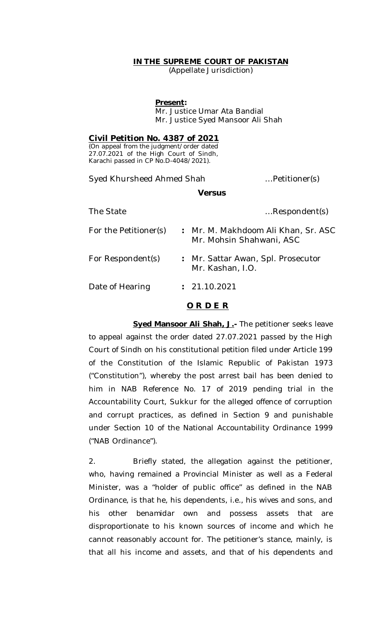## **IN THE SUPREME COURT OF PAKISTAN**

(Appellate Jurisdiction)

#### **Present:**

Mr. Justice Umar Ata Bandial Mr. Justice Syed Mansoor Ali Shah

### **Civil Petition No. 4387 of 2021**

(On appeal from the judgment/order dated 27.07.2021 of the High Court of Sindh, Karachi passed in CP No.D-4048/2021).

Syed Khursheed Ahmed Shah *…*Petitioner(s)

#### **Versus**

| The State             | Respondent(s)                                                   |
|-----------------------|-----------------------------------------------------------------|
| For the Petitioner(s) | : Mr. M. Makhdoom Ali Khan, Sr. ASC<br>Mr. Mohsin Shahwani, ASC |
| For Respondent(s)     | : Mr. Sattar Awan, Spl. Prosecutor<br>Mr. Kashan, I.O.          |
| Date of Hearing       | : 21.10.2021                                                    |

# **O R D E R**

**Syed Mansoor Ali Shah, J.- The petitioner seeks leave** to appeal against the order dated 27.07.2021 passed by the High Court of Sindh on his constitutional petition filed under Article 199 of the Constitution of the Islamic Republic of Pakistan 1973 ("Constitution"), whereby the post arrest bail has been denied to him in NAB Reference No. 17 of 2019 pending trial in the Accountability Court, Sukkur for the alleged offence of corruption and corrupt practices, as defined in Section 9 and punishable under Section 10 of the National Accountability Ordinance 1999 ("NAB Ordinance").

2. Briefly stated, the allegation against the petitioner, who, having remained a Provincial Minister as well as a Federal Minister, was a "holder of public office" as defined in the NAB Ordinance, is that he, his dependents, i.e., his wives and sons, and his other *benamidar* own and possess assets that are disproportionate to his known sources of income and which he cannot reasonably account for. The petitioner's stance, mainly, is that all his income and assets, and that of his dependents and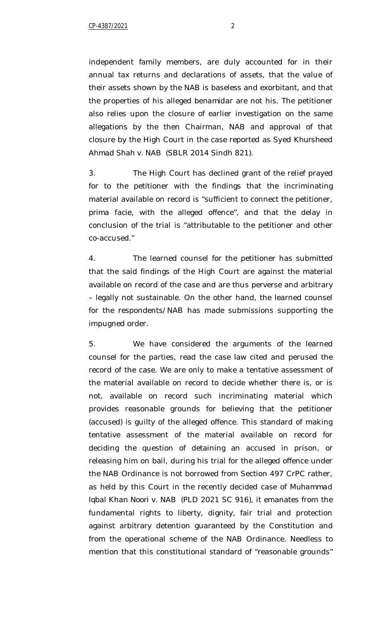independent family members, are duly accounted for in their annual tax returns and declarations of assets, that the value of their assets shown by the NAB is baseless and exorbitant, and that the properties of his alleged *benamidar* are not his. The petitioner also relies upon the closure of earlier investigation on the same allegations by the then Chairman, NAB and approval of that closure by the High Court in the case reported as *Syed Khursheed Ahmad Shah v. NAB* (SBLR 2014 Sindh 821).

3. The High Court has declined grant of the relief prayed for to the petitioner with the findings that the incriminating material available on record is "sufficient to connect the petitioner, *prima facie*, with the alleged offence", and that the delay in conclusion of the trial is "attributable to the petitioner and other co-accused."

4. The learned counsel for the petitioner has submitted that the said findings of the High Court are against the material available on record of the case and are thus perverse and arbitrary – legally not sustainable. On the other hand, the learned counsel for the respondents/NAB has made submissions supporting the impugned order.

5. We have considered the arguments of the learned counsel for the parties, read the case law cited and perused the record of the case. We are only to make a tentative assessment of the material available on record to decide whether there is, or is not, available on record such incriminating material which provides reasonable grounds for believing that the petitioner (accused) is guilty of the alleged offence. This standard of making tentative assessment of the material available on record for deciding the question of detaining an accused in prison, or releasing him on bail, during his trial for the alleged offence under the NAB Ordinance is not borrowed from Section 497 CrPC rather, as held by this Court in the recently decided case of *Muhammad Iqbal Khan Noori v. NAB* (PLD 2021 SC 916), it emanates from the fundamental rights to liberty, dignity, fair trial and protection against arbitrary detention guaranteed by the Constitution and from the operational scheme of the NAB Ordinance. Needless to mention that this constitutional standard of "reasonable grounds"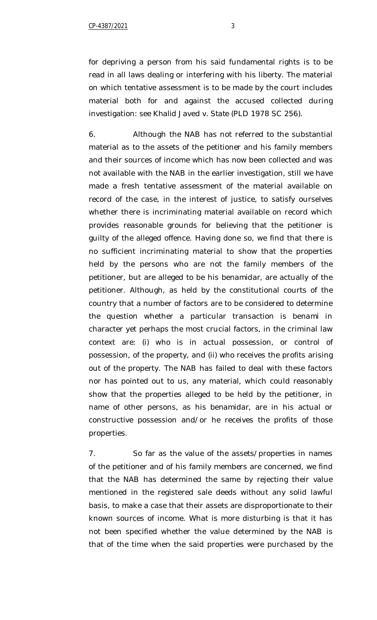for depriving a person from his said fundamental rights is to be read in all laws dealing or interfering with his liberty. The material on which tentative assessment is to be made by the court includes material both for and against the accused collected during investigation: see *Khalid Javed v. State* (PLD 1978 SC 256).

6. Although the NAB has not referred to the substantial material as to the assets of the petitioner and his family members and their sources of income which has now been collected and was not available with the NAB in the earlier investigation, still we have made a fresh tentative assessment of the material available on record of the case, in the interest of justice, to satisfy ourselves whether there is incriminating material available on record which provides reasonable grounds for believing that the petitioner is guilty of the alleged offence. Having done so, we find that there is no sufficient incriminating material to show that the properties held by the persons who are not the family members of the petitioner, but are alleged to be his *benamidar*, are actually of the petitioner. Although, as held by the constitutional courts of the country that a number of factors are to be considered to determine the question whether a particular transaction is *benami* in character yet perhaps the most crucial factors, in the criminal law context are: (i) who is in actual possession, or control of possession, of the property, and (ii) who receives the profits arising out of the property. The NAB has failed to deal with these factors nor has pointed out to us, any material, which could reasonably show that the properties alleged to be held by the petitioner, in name of other persons, as his *benamidar*, are in his actual or constructive possession and/or he receives the profits of those properties.

7. So far as the value of the assets/properties in names of the petitioner and of his family members are concerned, we find that the NAB has determined the same by rejecting their value mentioned in the registered sale deeds without any solid lawful basis, to make a case that their assets are disproportionate to their known sources of income. What is more disturbing is that it has not been specified whether the value determined by the NAB is that of the time when the said properties were purchased by the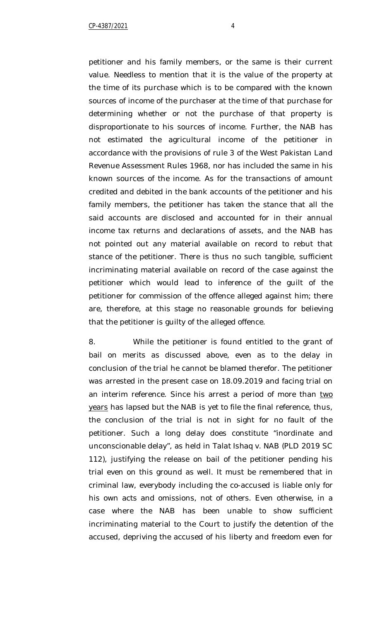petitioner and his family members, or the same is their current value. Needless to mention that it is the value of the property at the time of its purchase which is to be compared with the known sources of income of the purchaser at the time of that purchase for determining whether or not the purchase of that property is disproportionate to his sources of income. Further, the NAB has not estimated the agricultural income of the petitioner in accordance with the provisions of rule 3 of the West Pakistan Land Revenue Assessment Rules 1968, nor has included the same in his known sources of the income. As for the transactions of amount credited and debited in the bank accounts of the petitioner and his family members, the petitioner has taken the stance that all the said accounts are disclosed and accounted for in their annual income tax returns and declarations of assets, and the NAB has not pointed out any material available on record to rebut that stance of the petitioner. There is thus no such tangible, sufficient incriminating material available on record of the case against the petitioner which would lead to inference of the guilt of the petitioner for commission of the offence alleged against him; there are, therefore, at this stage no reasonable grounds for believing that the petitioner is guilty of the alleged offence.

8. While the petitioner is found entitled to the grant of bail on merits as discussed above, even as to the delay in conclusion of the trial he cannot be blamed therefor. The petitioner was arrested in the present case on 18.09.2019 and facing trial on an interim reference. Since his arrest a period of more than two years has lapsed but the NAB is yet to file the final reference, thus, the conclusion of the trial is not in sight for no fault of the petitioner. Such a long delay does constitute "inordinate and unconscionable delay", as held in *Talat Ishaq v. NAB* (PLD 2019 SC 112), justifying the release on bail of the petitioner pending his trial even on this ground as well. It must be remembered that in criminal law, everybody including the co-accused is liable only for his own acts and omissions, not of others. Even otherwise, in a case where the NAB has been unable to show sufficient incriminating material to the Court to justify the detention of the accused, depriving the accused of his liberty and freedom even for